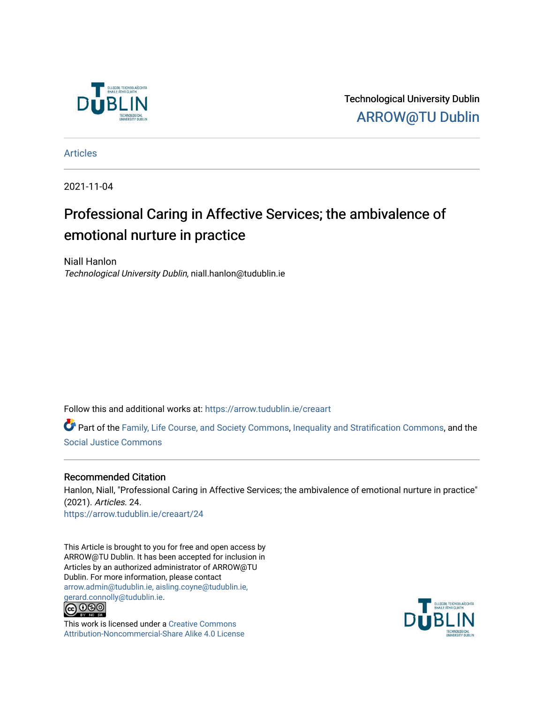

Technological University Dublin [ARROW@TU Dublin](https://arrow.tudublin.ie/) 

[Articles](https://arrow.tudublin.ie/creaart)

2021-11-04

# Professional Caring in Affective Services; the ambivalence of emotional nurture in practice

Niall Hanlon Technological University Dublin, niall.hanlon@tudublin.ie

Follow this and additional works at: [https://arrow.tudublin.ie/creaart](https://arrow.tudublin.ie/creaart?utm_source=arrow.tudublin.ie%2Fcreaart%2F24&utm_medium=PDF&utm_campaign=PDFCoverPages) 

Part of the [Family, Life Course, and Society Commons,](http://network.bepress.com/hgg/discipline/419?utm_source=arrow.tudublin.ie%2Fcreaart%2F24&utm_medium=PDF&utm_campaign=PDFCoverPages) [Inequality and Stratification Commons,](http://network.bepress.com/hgg/discipline/421?utm_source=arrow.tudublin.ie%2Fcreaart%2F24&utm_medium=PDF&utm_campaign=PDFCoverPages) and the [Social Justice Commons](http://network.bepress.com/hgg/discipline/1432?utm_source=arrow.tudublin.ie%2Fcreaart%2F24&utm_medium=PDF&utm_campaign=PDFCoverPages) 

# Recommended Citation

Hanlon, Niall, "Professional Caring in Affective Services; the ambivalence of emotional nurture in practice" (2021). Articles. 24. [https://arrow.tudublin.ie/creaart/24](https://arrow.tudublin.ie/creaart/24?utm_source=arrow.tudublin.ie%2Fcreaart%2F24&utm_medium=PDF&utm_campaign=PDFCoverPages)

This Article is brought to you for free and open access by ARROW@TU Dublin. It has been accepted for inclusion in Articles by an authorized administrator of ARROW@TU Dublin. For more information, please contact [arrow.admin@tudublin.ie, aisling.coyne@tudublin.ie,](mailto:arrow.admin@tudublin.ie,%20aisling.coyne@tudublin.ie,%20gerard.connolly@tudublin.ie)  [gerard.connolly@tudublin.ie](mailto:arrow.admin@tudublin.ie,%20aisling.coyne@tudublin.ie,%20gerard.connolly@tudublin.ie).<br>@000



This work is licensed under a [Creative Commons](http://creativecommons.org/licenses/by-nc-sa/4.0/) [Attribution-Noncommercial-Share Alike 4.0 License](http://creativecommons.org/licenses/by-nc-sa/4.0/)

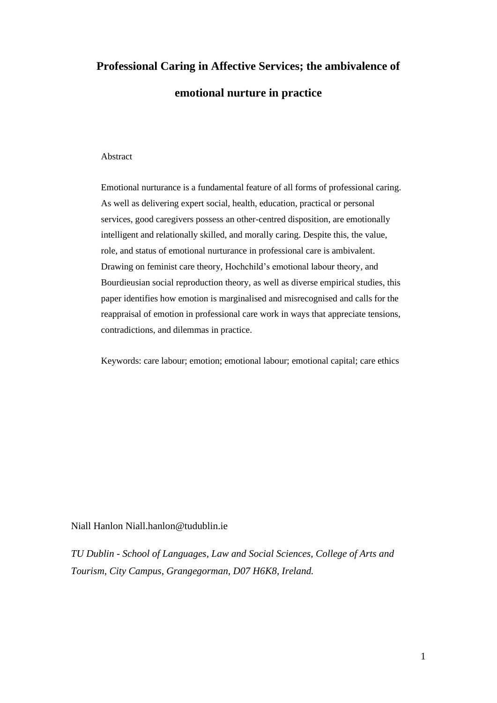# **Professional Caring in Affective Services; the ambivalence of emotional nurture in practice**

#### Abstract

Emotional nurturance is a fundamental feature of all forms of professional caring. As well as delivering expert social, health, education, practical or personal services, good caregivers possess an other-centred disposition, are emotionally intelligent and relationally skilled, and morally caring. Despite this, the value, role, and status of emotional nurturance in professional care is ambivalent. Drawing on feminist care theory, Hochchild's emotional labour theory, and Bourdieusian social reproduction theory, as well as diverse empirical studies, this paper identifies how emotion is marginalised and misrecognised and calls for the reappraisal of emotion in professional care work in ways that appreciate tensions, contradictions, and dilemmas in practice.

Keywords: care labour; emotion; emotional labour; emotional capital; care ethics

# Niall Hanlon Niall.hanlon@tudublin.ie

*TU Dublin - School of Languages, Law and Social Sciences, College of Arts and Tourism, City Campus, Grangegorman, D07 H6K8, Ireland.*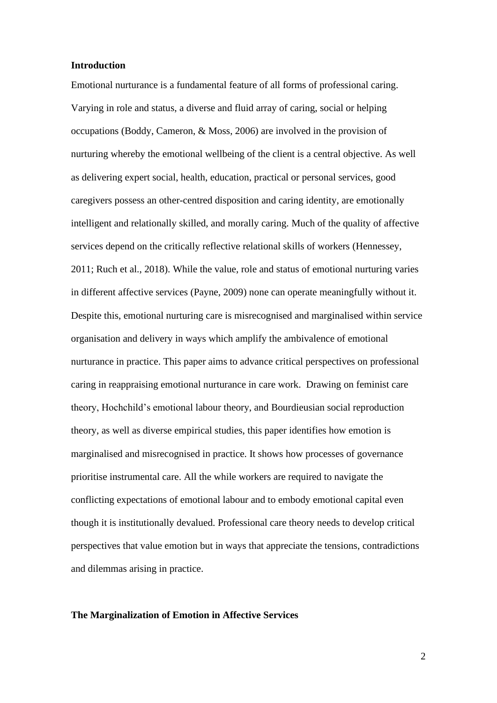# **Introduction**

Emotional nurturance is a fundamental feature of all forms of professional caring. Varying in role and status, a diverse and fluid array of caring, social or helping occupations (Boddy, Cameron, & Moss, 2006) are involved in the provision of nurturing whereby the emotional wellbeing of the client is a central objective. As well as delivering expert social, health, education, practical or personal services, good caregivers possess an other-centred disposition and caring identity, are emotionally intelligent and relationally skilled, and morally caring. Much of the quality of affective services depend on the critically reflective relational skills of workers (Hennessey, 2011; Ruch et al., 2018). While the value, role and status of emotional nurturing varies in different affective services (Payne, 2009) none can operate meaningfully without it. Despite this, emotional nurturing care is misrecognised and marginalised within service organisation and delivery in ways which amplify the ambivalence of emotional nurturance in practice. This paper aims to advance critical perspectives on professional caring in reappraising emotional nurturance in care work. Drawing on feminist care theory, Hochchild's emotional labour theory, and Bourdieusian social reproduction theory, as well as diverse empirical studies, this paper identifies how emotion is marginalised and misrecognised in practice. It shows how processes of governance prioritise instrumental care. All the while workers are required to navigate the conflicting expectations of emotional labour and to embody emotional capital even though it is institutionally devalued. Professional care theory needs to develop critical perspectives that value emotion but in ways that appreciate the tensions, contradictions and dilemmas arising in practice.

#### **The Marginalization of Emotion in Affective Services**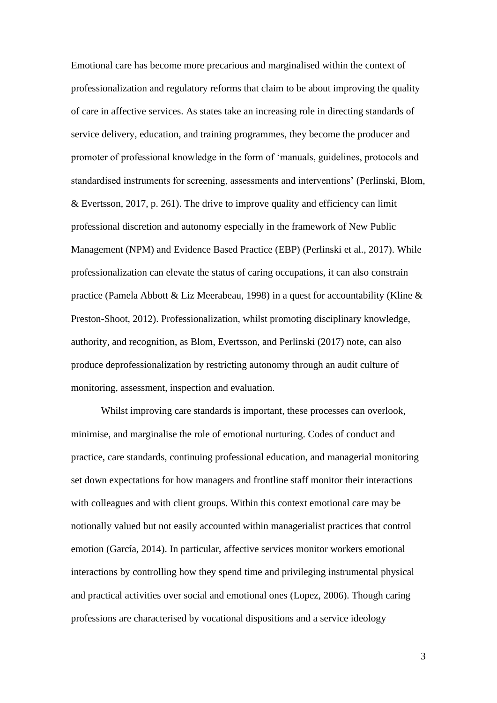Emotional care has become more precarious and marginalised within the context of professionalization and regulatory reforms that claim to be about improving the quality of care in affective services. As states take an increasing role in directing standards of service delivery, education, and training programmes, they become the producer and promoter of professional knowledge in the form of 'manuals, guidelines, protocols and standardised instruments for screening, assessments and interventions' (Perlinski, Blom,  $&$  Evertsson, 2017, p. 261). The drive to improve quality and efficiency can limit professional discretion and autonomy especially in the framework of New Public Management (NPM) and Evidence Based Practice (EBP) (Perlinski et al., 2017). While professionalization can elevate the status of caring occupations, it can also constrain practice (Pamela Abbott & Liz Meerabeau, 1998) in a quest for accountability (Kline & Preston-Shoot, 2012). Professionalization, whilst promoting disciplinary knowledge, authority, and recognition, as Blom, Evertsson, and Perlinski (2017) note, can also produce deprofessionalization by restricting autonomy through an audit culture of monitoring, assessment, inspection and evaluation.

Whilst improving care standards is important, these processes can overlook, minimise, and marginalise the role of emotional nurturing. Codes of conduct and practice, care standards, continuing professional education, and managerial monitoring set down expectations for how managers and frontline staff monitor their interactions with colleagues and with client groups. Within this context emotional care may be notionally valued but not easily accounted within managerialist practices that control emotion (García, 2014). In particular, affective services monitor workers emotional interactions by controlling how they spend time and privileging instrumental physical and practical activities over social and emotional ones (Lopez, 2006). Though caring professions are characterised by vocational dispositions and a service ideology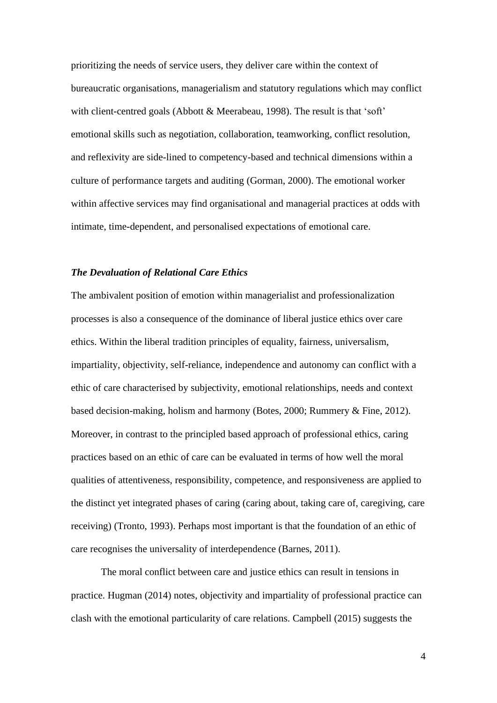prioritizing the needs of service users, they deliver care within the context of bureaucratic organisations, managerialism and statutory regulations which may conflict with client-centred goals (Abbott & Meerabeau, 1998). The result is that 'soft' emotional skills such as negotiation, collaboration, teamworking, conflict resolution, and reflexivity are side-lined to competency-based and technical dimensions within a culture of performance targets and auditing (Gorman, 2000). The emotional worker within affective services may find organisational and managerial practices at odds with intimate, time-dependent, and personalised expectations of emotional care.

## *The Devaluation of Relational Care Ethics*

The ambivalent position of emotion within managerialist and professionalization processes is also a consequence of the dominance of liberal justice ethics over care ethics. Within the liberal tradition principles of equality, fairness, universalism, impartiality, objectivity, self-reliance, independence and autonomy can conflict with a ethic of care characterised by subjectivity, emotional relationships, needs and context based decision-making, holism and harmony (Botes, 2000; Rummery & Fine, 2012). Moreover, in contrast to the principled based approach of professional ethics, caring practices based on an ethic of care can be evaluated in terms of how well the moral qualities of attentiveness, responsibility, competence, and responsiveness are applied to the distinct yet integrated phases of caring (caring about, taking care of, caregiving, care receiving) (Tronto, 1993). Perhaps most important is that the foundation of an ethic of care recognises the universality of interdependence (Barnes, 2011).

The moral conflict between care and justice ethics can result in tensions in practice. Hugman (2014) notes, objectivity and impartiality of professional practice can clash with the emotional particularity of care relations. Campbell (2015) suggests the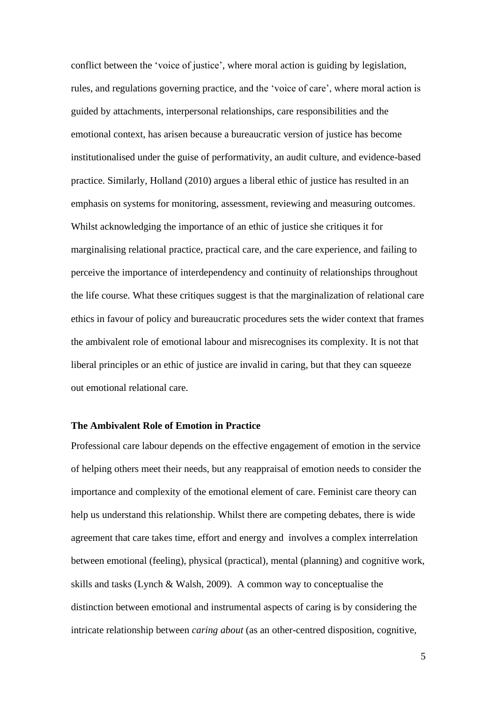conflict between the 'voice of justice', where moral action is guiding by legislation, rules, and regulations governing practice, and the 'voice of care', where moral action is guided by attachments, interpersonal relationships, care responsibilities and the emotional context, has arisen because a bureaucratic version of justice has become institutionalised under the guise of performativity, an audit culture, and evidence-based practice. Similarly, Holland (2010) argues a liberal ethic of justice has resulted in an emphasis on systems for monitoring, assessment, reviewing and measuring outcomes. Whilst acknowledging the importance of an ethic of justice she critiques it for marginalising relational practice, practical care, and the care experience, and failing to perceive the importance of interdependency and continuity of relationships throughout the life course. What these critiques suggest is that the marginalization of relational care ethics in favour of policy and bureaucratic procedures sets the wider context that frames the ambivalent role of emotional labour and misrecognises its complexity. It is not that liberal principles or an ethic of justice are invalid in caring, but that they can squeeze out emotional relational care.

# **The Ambivalent Role of Emotion in Practice**

Professional care labour depends on the effective engagement of emotion in the service of helping others meet their needs, but any reappraisal of emotion needs to consider the importance and complexity of the emotional element of care. Feminist care theory can help us understand this relationship. Whilst there are competing debates, there is wide agreement that care takes time, effort and energy and involves a complex interrelation between emotional (feeling), physical (practical), mental (planning) and cognitive work, skills and tasks (Lynch & Walsh, 2009). A common way to conceptualise the distinction between emotional and instrumental aspects of caring is by considering the intricate relationship between *caring about* (as an other-centred disposition, cognitive,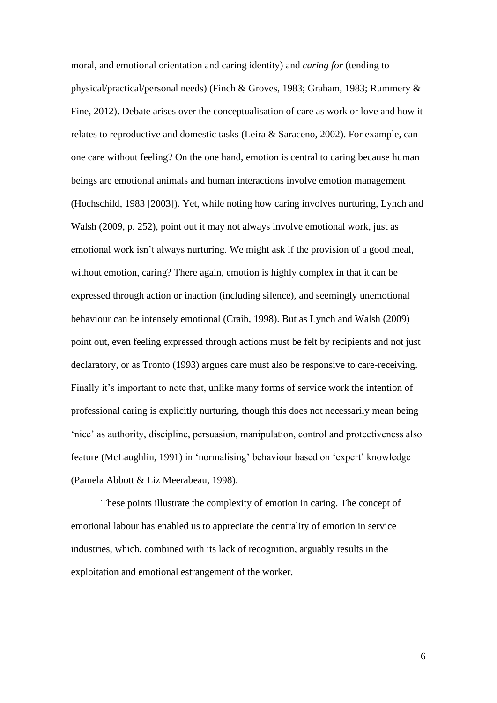moral, and emotional orientation and caring identity) and *caring for* (tending to physical/practical/personal needs) (Finch & Groves, 1983; Graham, 1983; Rummery & Fine, 2012). Debate arises over the conceptualisation of care as work or love and how it relates to reproductive and domestic tasks (Leira & Saraceno, 2002). For example, can one care without feeling? On the one hand, emotion is central to caring because human beings are emotional animals and human interactions involve emotion management (Hochschild, 1983 [2003]). Yet, while noting how caring involves nurturing, Lynch and Walsh (2009, p. 252), point out it may not always involve emotional work, just as emotional work isn't always nurturing. We might ask if the provision of a good meal, without emotion, caring? There again, emotion is highly complex in that it can be expressed through action or inaction (including silence), and seemingly unemotional behaviour can be intensely emotional (Craib, 1998). But as Lynch and Walsh (2009) point out, even feeling expressed through actions must be felt by recipients and not just declaratory, or as Tronto (1993) argues care must also be responsive to care-receiving. Finally it's important to note that, unlike many forms of service work the intention of professional caring is explicitly nurturing, though this does not necessarily mean being 'nice' as authority, discipline, persuasion, manipulation, control and protectiveness also feature (McLaughlin, 1991) in 'normalising' behaviour based on 'expert' knowledge (Pamela Abbott & Liz Meerabeau, 1998).

These points illustrate the complexity of emotion in caring. The concept of emotional labour has enabled us to appreciate the centrality of emotion in service industries, which, combined with its lack of recognition, arguably results in the exploitation and emotional estrangement of the worker.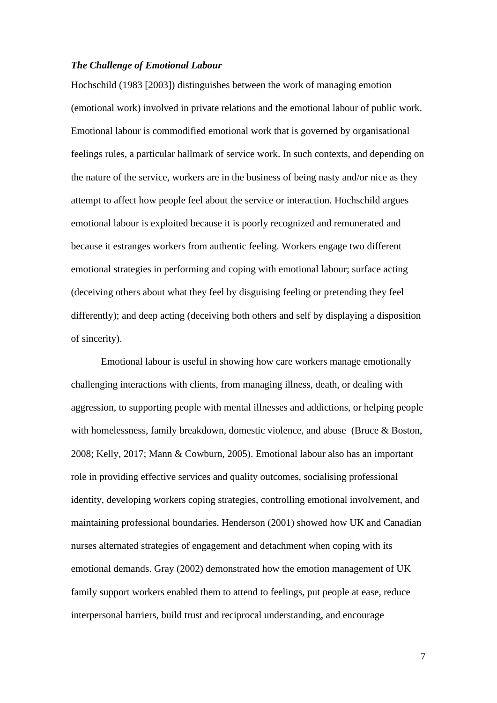# *The Challenge of Emotional Labour*

Hochschild (1983 [2003]) distinguishes between the work of managing emotion (emotional work) involved in private relations and the emotional labour of public work. Emotional labour is commodified emotional work that is governed by organisational feelings rules, a particular hallmark of service work. In such contexts, and depending on the nature of the service, workers are in the business of being nasty and/or nice as they attempt to affect how people feel about the service or interaction. Hochschild argues emotional labour is exploited because it is poorly recognized and remunerated and because it estranges workers from authentic feeling. Workers engage two different emotional strategies in performing and coping with emotional labour; surface acting (deceiving others about what they feel by disguising feeling or pretending they feel differently); and deep acting (deceiving both others and self by displaying a disposition of sincerity).

Emotional labour is useful in showing how care workers manage emotionally challenging interactions with clients, from managing illness, death, or dealing with aggression, to supporting people with mental illnesses and addictions, or helping people with homelessness, family breakdown, domestic violence, and abuse (Bruce & Boston, 2008; Kelly, 2017; Mann & Cowburn, 2005). Emotional labour also has an important role in providing effective services and quality outcomes, socialising professional identity, developing workers coping strategies, controlling emotional involvement, and maintaining professional boundaries. Henderson (2001) showed how UK and Canadian nurses alternated strategies of engagement and detachment when coping with its emotional demands. Gray (2002) demonstrated how the emotion management of UK family support workers enabled them to attend to feelings, put people at ease, reduce interpersonal barriers, build trust and reciprocal understanding, and encourage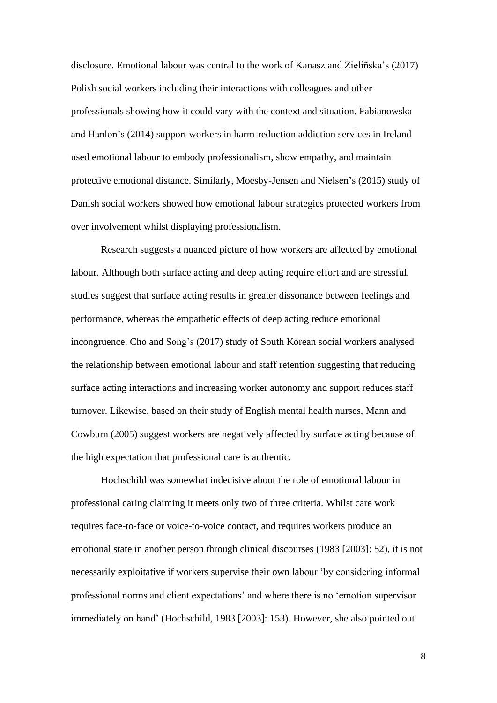disclosure. Emotional labour was central to the work of Kanasz and Zieliñska's (2017) Polish social workers including their interactions with colleagues and other professionals showing how it could vary with the context and situation. Fabianowska and Hanlon's (2014) support workers in harm-reduction addiction services in Ireland used emotional labour to embody professionalism, show empathy, and maintain protective emotional distance. Similarly, Moesby-Jensen and Nielsen's (2015) study of Danish social workers showed how emotional labour strategies protected workers from over involvement whilst displaying professionalism.

Research suggests a nuanced picture of how workers are affected by emotional labour. Although both surface acting and deep acting require effort and are stressful, studies suggest that surface acting results in greater dissonance between feelings and performance, whereas the empathetic effects of deep acting reduce emotional incongruence. Cho and Song's (2017) study of South Korean social workers analysed the relationship between emotional labour and staff retention suggesting that reducing surface acting interactions and increasing worker autonomy and support reduces staff turnover. Likewise, based on their study of English mental health nurses, Mann and Cowburn (2005) suggest workers are negatively affected by surface acting because of the high expectation that professional care is authentic.

Hochschild was somewhat indecisive about the role of emotional labour in professional caring claiming it meets only two of three criteria. Whilst care work requires face-to-face or voice-to-voice contact, and requires workers produce an emotional state in another person through clinical discourses (1983 [2003]: 52), it is not necessarily exploitative if workers supervise their own labour 'by considering informal professional norms and client expectations' and where there is no 'emotion supervisor immediately on hand' (Hochschild, 1983 [2003]: 153). However, she also pointed out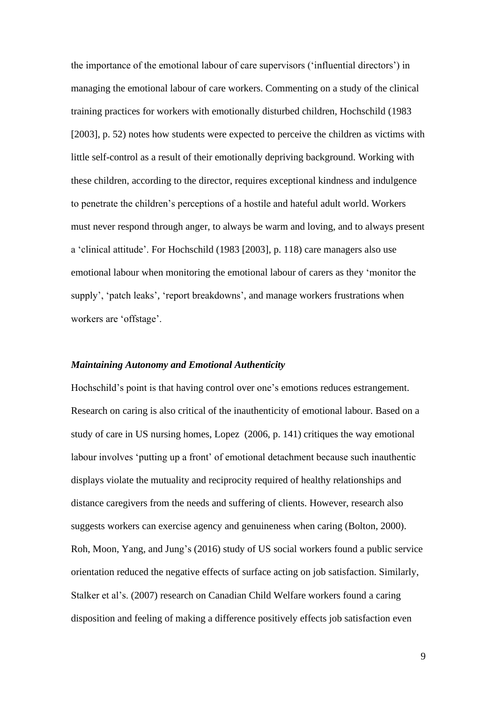the importance of the emotional labour of care supervisors ('influential directors') in managing the emotional labour of care workers. Commenting on a study of the clinical training practices for workers with emotionally disturbed children, Hochschild (1983 [2003], p. 52) notes how students were expected to perceive the children as victims with little self-control as a result of their emotionally depriving background. Working with these children, according to the director, requires exceptional kindness and indulgence to penetrate the children's perceptions of a hostile and hateful adult world. Workers must never respond through anger, to always be warm and loving, and to always present a 'clinical attitude'. For Hochschild (1983 [2003], p. 118) care managers also use emotional labour when monitoring the emotional labour of carers as they 'monitor the supply', 'patch leaks', 'report breakdowns', and manage workers frustrations when workers are 'offstage'.

#### *Maintaining Autonomy and Emotional Authenticity*

Hochschild's point is that having control over one's emotions reduces estrangement. Research on caring is also critical of the inauthenticity of emotional labour. Based on a study of care in US nursing homes, Lopez (2006, p. 141) critiques the way emotional labour involves 'putting up a front' of emotional detachment because such inauthentic displays violate the mutuality and reciprocity required of healthy relationships and distance caregivers from the needs and suffering of clients. However, research also suggests workers can exercise agency and genuineness when caring (Bolton, 2000). Roh, Moon, Yang, and Jung's (2016) study of US social workers found a public service orientation reduced the negative effects of surface acting on job satisfaction. Similarly, Stalker et al's. (2007) research on Canadian Child Welfare workers found a caring disposition and feeling of making a difference positively effects job satisfaction even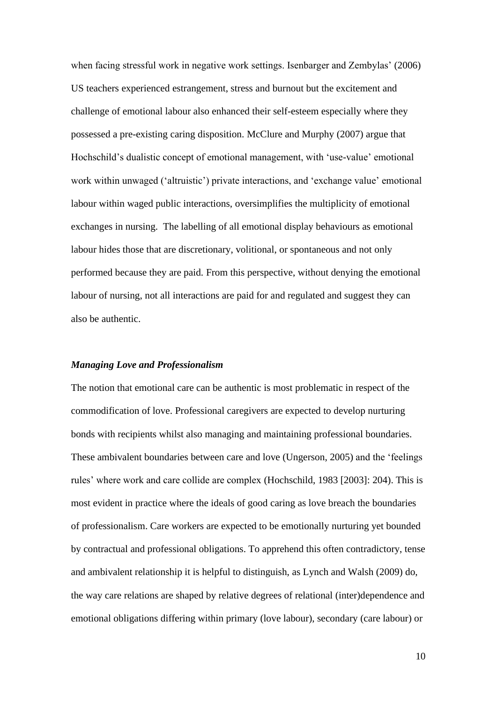when facing stressful work in negative work settings. Isenbarger and Zembylas' (2006) US teachers experienced estrangement, stress and burnout but the excitement and challenge of emotional labour also enhanced their self-esteem especially where they possessed a pre-existing caring disposition. McClure and Murphy (2007) argue that Hochschild's dualistic concept of emotional management, with 'use-value' emotional work within unwaged ('altruistic') private interactions, and 'exchange value' emotional labour within waged public interactions, oversimplifies the multiplicity of emotional exchanges in nursing. The labelling of all emotional display behaviours as emotional labour hides those that are discretionary, volitional, or spontaneous and not only performed because they are paid. From this perspective, without denying the emotional labour of nursing, not all interactions are paid for and regulated and suggest they can also be authentic.

#### *Managing Love and Professionalism*

The notion that emotional care can be authentic is most problematic in respect of the commodification of love. Professional caregivers are expected to develop nurturing bonds with recipients whilst also managing and maintaining professional boundaries. These ambivalent boundaries between care and love (Ungerson, 2005) and the 'feelings rules' where work and care collide are complex (Hochschild, 1983 [2003]: 204). This is most evident in practice where the ideals of good caring as love breach the boundaries of professionalism. Care workers are expected to be emotionally nurturing yet bounded by contractual and professional obligations. To apprehend this often contradictory, tense and ambivalent relationship it is helpful to distinguish, as Lynch and Walsh (2009) do, the way care relations are shaped by relative degrees of relational (inter)dependence and emotional obligations differing within primary (love labour), secondary (care labour) or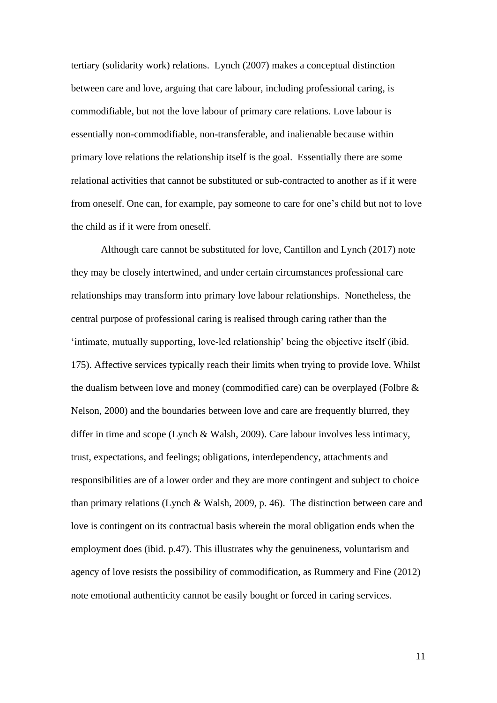tertiary (solidarity work) relations. Lynch (2007) makes a conceptual distinction between care and love, arguing that care labour, including professional caring, is commodifiable, but not the love labour of primary care relations. Love labour is essentially non-commodifiable, non-transferable, and inalienable because within primary love relations the relationship itself is the goal. Essentially there are some relational activities that cannot be substituted or sub-contracted to another as if it were from oneself. One can, for example, pay someone to care for one's child but not to love the child as if it were from oneself.

Although care cannot be substituted for love, Cantillon and Lynch (2017) note they may be closely intertwined, and under certain circumstances professional care relationships may transform into primary love labour relationships. Nonetheless, the central purpose of professional caring is realised through caring rather than the 'intimate, mutually supporting, love-led relationship' being the objective itself (ibid. 175). Affective services typically reach their limits when trying to provide love. Whilst the dualism between love and money (commodified care) can be overplayed (Folbre & Nelson, 2000) and the boundaries between love and care are frequently blurred, they differ in time and scope (Lynch & Walsh, 2009). Care labour involves less intimacy, trust, expectations, and feelings; obligations, interdependency, attachments and responsibilities are of a lower order and they are more contingent and subject to choice than primary relations (Lynch & Walsh, 2009, p. 46). The distinction between care and love is contingent on its contractual basis wherein the moral obligation ends when the employment does (ibid. p.47). This illustrates why the genuineness, voluntarism and agency of love resists the possibility of commodification, as Rummery and Fine (2012) note emotional authenticity cannot be easily bought or forced in caring services.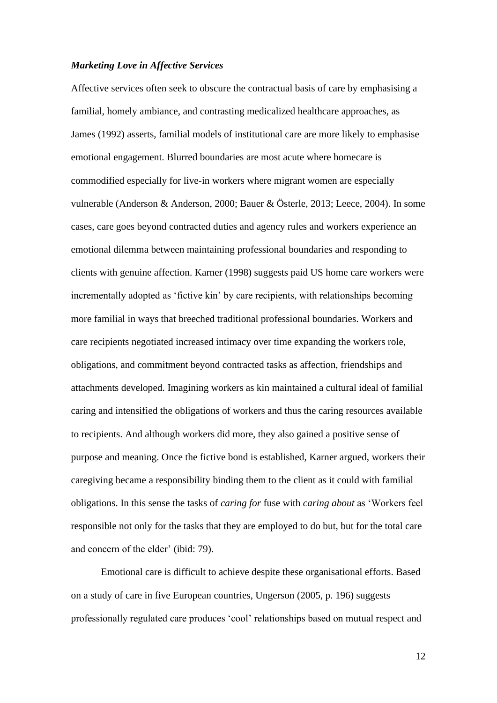## *Marketing Love in Affective Services*

Affective services often seek to obscure the contractual basis of care by emphasising a familial, homely ambiance, and contrasting medicalized healthcare approaches, as James (1992) asserts, familial models of institutional care are more likely to emphasise emotional engagement. Blurred boundaries are most acute where homecare is commodified especially for live-in workers where migrant women are especially vulnerable (Anderson & Anderson, 2000; Bauer & Österle, 2013; Leece, 2004). In some cases, care goes beyond contracted duties and agency rules and workers experience an emotional dilemma between maintaining professional boundaries and responding to clients with genuine affection. Karner (1998) suggests paid US home care workers were incrementally adopted as 'fictive kin' by care recipients, with relationships becoming more familial in ways that breeched traditional professional boundaries. Workers and care recipients negotiated increased intimacy over time expanding the workers role, obligations, and commitment beyond contracted tasks as affection, friendships and attachments developed. Imagining workers as kin maintained a cultural ideal of familial caring and intensified the obligations of workers and thus the caring resources available to recipients. And although workers did more, they also gained a positive sense of purpose and meaning. Once the fictive bond is established, Karner argued, workers their caregiving became a responsibility binding them to the client as it could with familial obligations. In this sense the tasks of *caring for* fuse with *caring about* as 'Workers feel responsible not only for the tasks that they are employed to do but, but for the total care and concern of the elder' (ibid: 79).

Emotional care is difficult to achieve despite these organisational efforts. Based on a study of care in five European countries, Ungerson (2005, p. 196) suggests professionally regulated care produces 'cool' relationships based on mutual respect and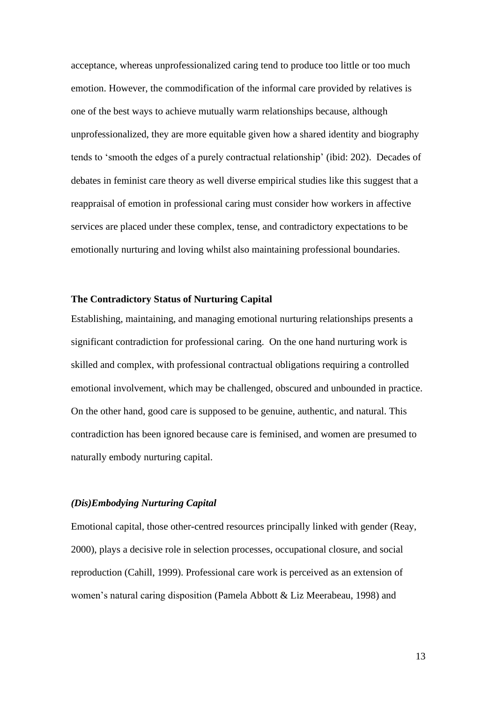acceptance, whereas unprofessionalized caring tend to produce too little or too much emotion. However, the commodification of the informal care provided by relatives is one of the best ways to achieve mutually warm relationships because, although unprofessionalized, they are more equitable given how a shared identity and biography tends to 'smooth the edges of a purely contractual relationship' (ibid: 202). Decades of debates in feminist care theory as well diverse empirical studies like this suggest that a reappraisal of emotion in professional caring must consider how workers in affective services are placed under these complex, tense, and contradictory expectations to be emotionally nurturing and loving whilst also maintaining professional boundaries.

# **The Contradictory Status of Nurturing Capital**

Establishing, maintaining, and managing emotional nurturing relationships presents a significant contradiction for professional caring. On the one hand nurturing work is skilled and complex, with professional contractual obligations requiring a controlled emotional involvement, which may be challenged, obscured and unbounded in practice. On the other hand, good care is supposed to be genuine, authentic, and natural. This contradiction has been ignored because care is feminised, and women are presumed to naturally embody nurturing capital.

## *(Dis)Embodying Nurturing Capital*

Emotional capital, those other-centred resources principally linked with gender (Reay, 2000), plays a decisive role in selection processes, occupational closure, and social reproduction (Cahill, 1999). Professional care work is perceived as an extension of women's natural caring disposition (Pamela Abbott & Liz Meerabeau, 1998) and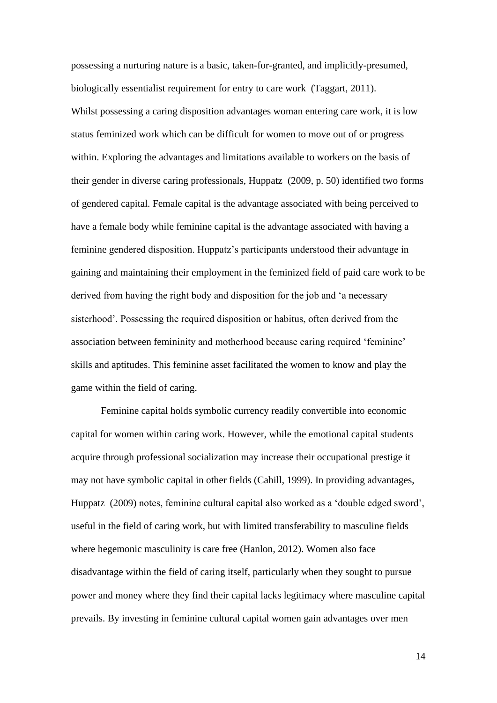possessing a nurturing nature is a basic, taken-for-granted, and implicitly-presumed, biologically essentialist requirement for entry to care work (Taggart, 2011). Whilst possessing a caring disposition advantages woman entering care work, it is low status feminized work which can be difficult for women to move out of or progress within. Exploring the advantages and limitations available to workers on the basis of their gender in diverse caring professionals, Huppatz (2009, p. 50) identified two forms of gendered capital. Female capital is the advantage associated with being perceived to have a female body while feminine capital is the advantage associated with having a feminine gendered disposition. Huppatz's participants understood their advantage in gaining and maintaining their employment in the feminized field of paid care work to be derived from having the right body and disposition for the job and 'a necessary sisterhood'. Possessing the required disposition or habitus, often derived from the association between femininity and motherhood because caring required 'feminine' skills and aptitudes. This feminine asset facilitated the women to know and play the game within the field of caring.

Feminine capital holds symbolic currency readily convertible into economic capital for women within caring work. However, while the emotional capital students acquire through professional socialization may increase their occupational prestige it may not have symbolic capital in other fields (Cahill, 1999). In providing advantages, Huppatz (2009) notes, feminine cultural capital also worked as a 'double edged sword', useful in the field of caring work, but with limited transferability to masculine fields where hegemonic masculinity is care free (Hanlon, 2012). Women also face disadvantage within the field of caring itself, particularly when they sought to pursue power and money where they find their capital lacks legitimacy where masculine capital prevails. By investing in feminine cultural capital women gain advantages over men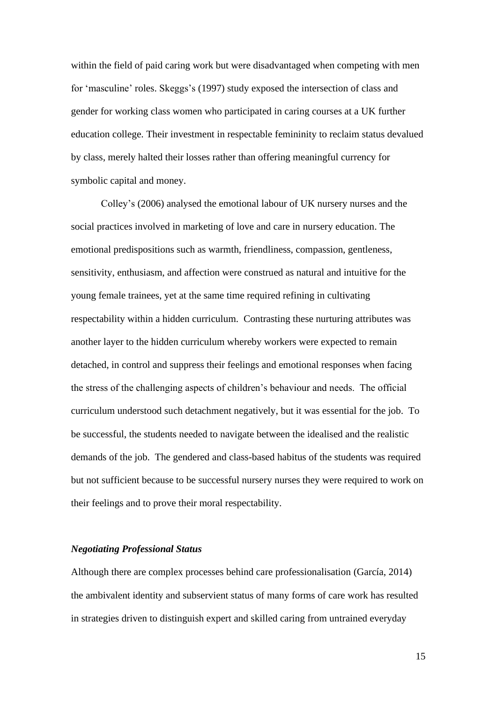within the field of paid caring work but were disadvantaged when competing with men for 'masculine' roles. Skeggs's (1997) study exposed the intersection of class and gender for working class women who participated in caring courses at a UK further education college. Their investment in respectable femininity to reclaim status devalued by class, merely halted their losses rather than offering meaningful currency for symbolic capital and money.

Colley's (2006) analysed the emotional labour of UK nursery nurses and the social practices involved in marketing of love and care in nursery education. The emotional predispositions such as warmth, friendliness, compassion, gentleness, sensitivity, enthusiasm, and affection were construed as natural and intuitive for the young female trainees, yet at the same time required refining in cultivating respectability within a hidden curriculum. Contrasting these nurturing attributes was another layer to the hidden curriculum whereby workers were expected to remain detached, in control and suppress their feelings and emotional responses when facing the stress of the challenging aspects of children's behaviour and needs. The official curriculum understood such detachment negatively, but it was essential for the job. To be successful, the students needed to navigate between the idealised and the realistic demands of the job. The gendered and class-based habitus of the students was required but not sufficient because to be successful nursery nurses they were required to work on their feelings and to prove their moral respectability.

## *Negotiating Professional Status*

Although there are complex processes behind care professionalisation (García, 2014) the ambivalent identity and subservient status of many forms of care work has resulted in strategies driven to distinguish expert and skilled caring from untrained everyday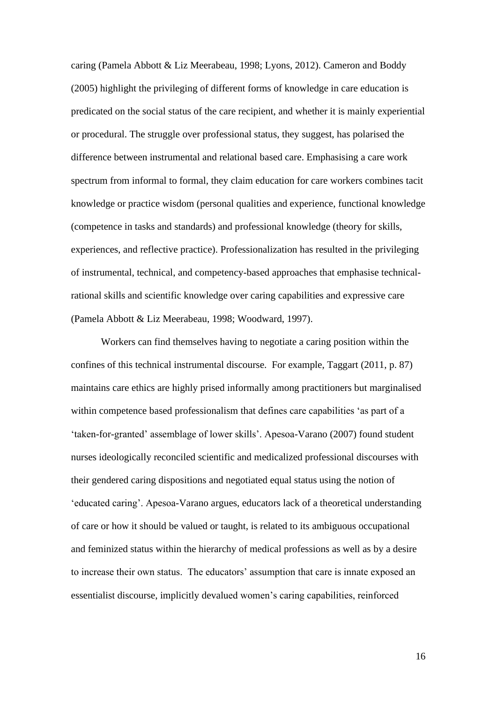caring (Pamela Abbott & Liz Meerabeau, 1998; Lyons, 2012). Cameron and Boddy (2005) highlight the privileging of different forms of knowledge in care education is predicated on the social status of the care recipient, and whether it is mainly experiential or procedural. The struggle over professional status, they suggest, has polarised the difference between instrumental and relational based care. Emphasising a care work spectrum from informal to formal, they claim education for care workers combines tacit knowledge or practice wisdom (personal qualities and experience, functional knowledge (competence in tasks and standards) and professional knowledge (theory for skills, experiences, and reflective practice). Professionalization has resulted in the privileging of instrumental, technical, and competency-based approaches that emphasise technicalrational skills and scientific knowledge over caring capabilities and expressive care (Pamela Abbott & Liz Meerabeau, 1998; Woodward, 1997).

Workers can find themselves having to negotiate a caring position within the confines of this technical instrumental discourse. For example, Taggart (2011, p. 87) maintains care ethics are highly prised informally among practitioners but marginalised within competence based professionalism that defines care capabilities 'as part of a 'taken-for-granted' assemblage of lower skills'. Apesoa-Varano (2007) found student nurses ideologically reconciled scientific and medicalized professional discourses with their gendered caring dispositions and negotiated equal status using the notion of 'educated caring'. Apesoa-Varano argues, educators lack of a theoretical understanding of care or how it should be valued or taught, is related to its ambiguous occupational and feminized status within the hierarchy of medical professions as well as by a desire to increase their own status. The educators' assumption that care is innate exposed an essentialist discourse, implicitly devalued women's caring capabilities, reinforced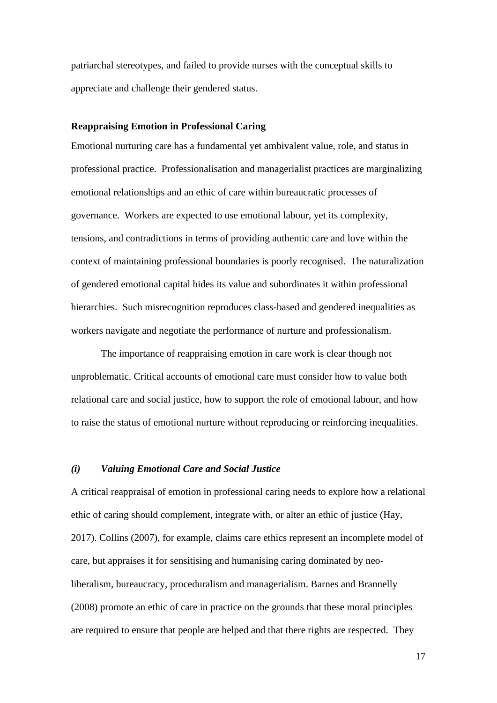patriarchal stereotypes, and failed to provide nurses with the conceptual skills to appreciate and challenge their gendered status.

## **Reappraising Emotion in Professional Caring**

Emotional nurturing care has a fundamental yet ambivalent value, role, and status in professional practice. Professionalisation and managerialist practices are marginalizing emotional relationships and an ethic of care within bureaucratic processes of governance. Workers are expected to use emotional labour, yet its complexity, tensions, and contradictions in terms of providing authentic care and love within the context of maintaining professional boundaries is poorly recognised. The naturalization of gendered emotional capital hides its value and subordinates it within professional hierarchies. Such misrecognition reproduces class-based and gendered inequalities as workers navigate and negotiate the performance of nurture and professionalism.

The importance of reappraising emotion in care work is clear though not unproblematic. Critical accounts of emotional care must consider how to value both relational care and social justice, how to support the role of emotional labour, and how to raise the status of emotional nurture without reproducing or reinforcing inequalities.

#### *(i) Valuing Emotional Care and Social Justice*

A critical reappraisal of emotion in professional caring needs to explore how a relational ethic of caring should complement, integrate with, or alter an ethic of justice (Hay, 2017). Collins (2007), for example, claims care ethics represent an incomplete model of care, but appraises it for sensitising and humanising caring dominated by neoliberalism, bureaucracy, proceduralism and managerialism. Barnes and Brannelly (2008) promote an ethic of care in practice on the grounds that these moral principles are required to ensure that people are helped and that there rights are respected. They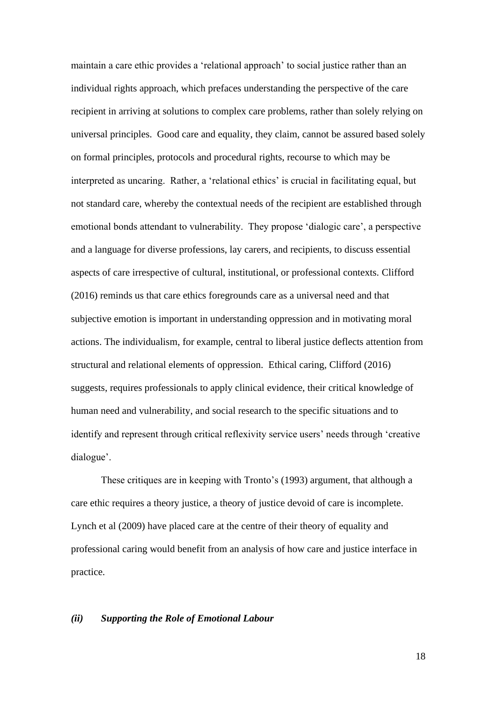maintain a care ethic provides a 'relational approach' to social justice rather than an individual rights approach, which prefaces understanding the perspective of the care recipient in arriving at solutions to complex care problems, rather than solely relying on universal principles. Good care and equality, they claim, cannot be assured based solely on formal principles, protocols and procedural rights, recourse to which may be interpreted as uncaring. Rather, a 'relational ethics' is crucial in facilitating equal, but not standard care, whereby the contextual needs of the recipient are established through emotional bonds attendant to vulnerability. They propose 'dialogic care', a perspective and a language for diverse professions, lay carers, and recipients, to discuss essential aspects of care irrespective of cultural, institutional, or professional contexts. Clifford (2016) reminds us that care ethics foregrounds care as a universal need and that subjective emotion is important in understanding oppression and in motivating moral actions. The individualism, for example, central to liberal justice deflects attention from structural and relational elements of oppression. Ethical caring, Clifford (2016) suggests, requires professionals to apply clinical evidence, their critical knowledge of human need and vulnerability, and social research to the specific situations and to identify and represent through critical reflexivity service users' needs through 'creative dialogue'.

These critiques are in keeping with Tronto's (1993) argument, that although a care ethic requires a theory justice, a theory of justice devoid of care is incomplete. Lynch et al (2009) have placed care at the centre of their theory of equality and professional caring would benefit from an analysis of how care and justice interface in practice.

### *(ii) Supporting the Role of Emotional Labour*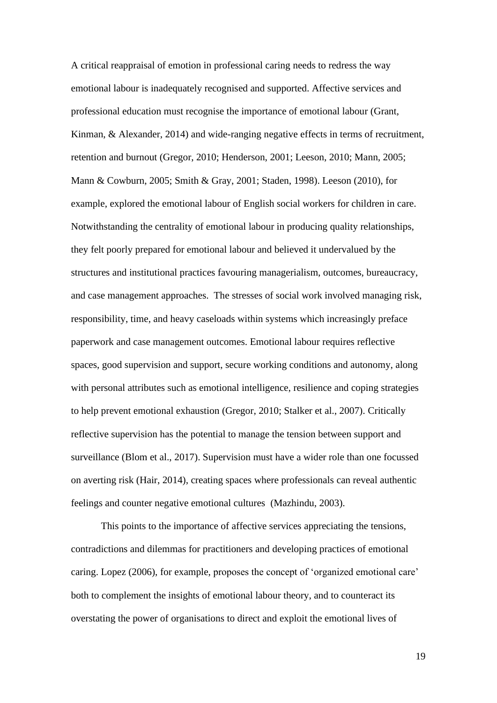A critical reappraisal of emotion in professional caring needs to redress the way emotional labour is inadequately recognised and supported. Affective services and professional education must recognise the importance of emotional labour (Grant, Kinman, & Alexander, 2014) and wide-ranging negative effects in terms of recruitment, retention and burnout (Gregor, 2010; Henderson, 2001; Leeson, 2010; Mann, 2005; Mann & Cowburn, 2005; Smith & Gray, 2001; Staden, 1998). Leeson (2010), for example, explored the emotional labour of English social workers for children in care. Notwithstanding the centrality of emotional labour in producing quality relationships, they felt poorly prepared for emotional labour and believed it undervalued by the structures and institutional practices favouring managerialism, outcomes, bureaucracy, and case management approaches. The stresses of social work involved managing risk, responsibility, time, and heavy caseloads within systems which increasingly preface paperwork and case management outcomes. Emotional labour requires reflective spaces, good supervision and support, secure working conditions and autonomy, along with personal attributes such as emotional intelligence, resilience and coping strategies to help prevent emotional exhaustion (Gregor, 2010; Stalker et al., 2007). Critically reflective supervision has the potential to manage the tension between support and surveillance (Blom et al., 2017). Supervision must have a wider role than one focussed on averting risk (Hair, 2014), creating spaces where professionals can reveal authentic feelings and counter negative emotional cultures (Mazhindu, 2003).

This points to the importance of affective services appreciating the tensions, contradictions and dilemmas for practitioners and developing practices of emotional caring. Lopez (2006), for example, proposes the concept of 'organized emotional care' both to complement the insights of emotional labour theory, and to counteract its overstating the power of organisations to direct and exploit the emotional lives of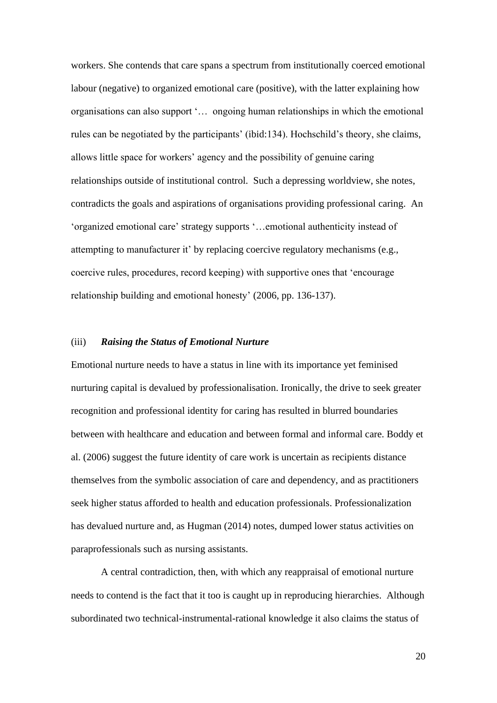workers. She contends that care spans a spectrum from institutionally coerced emotional labour (negative) to organized emotional care (positive), with the latter explaining how organisations can also support '… ongoing human relationships in which the emotional rules can be negotiated by the participants' (ibid:134). Hochschild's theory, she claims, allows little space for workers' agency and the possibility of genuine caring relationships outside of institutional control. Such a depressing worldview, she notes, contradicts the goals and aspirations of organisations providing professional caring. An 'organized emotional care' strategy supports '…emotional authenticity instead of attempting to manufacturer it' by replacing coercive regulatory mechanisms (e.g., coercive rules, procedures, record keeping) with supportive ones that 'encourage relationship building and emotional honesty' (2006, pp. 136-137).

## (iii) *Raising the Status of Emotional Nurture*

Emotional nurture needs to have a status in line with its importance yet feminised nurturing capital is devalued by professionalisation. Ironically, the drive to seek greater recognition and professional identity for caring has resulted in blurred boundaries between with healthcare and education and between formal and informal care. Boddy et al. (2006) suggest the future identity of care work is uncertain as recipients distance themselves from the symbolic association of care and dependency, and as practitioners seek higher status afforded to health and education professionals. Professionalization has devalued nurture and, as Hugman (2014) notes, dumped lower status activities on paraprofessionals such as nursing assistants.

A central contradiction, then, with which any reappraisal of emotional nurture needs to contend is the fact that it too is caught up in reproducing hierarchies. Although subordinated two technical-instrumental-rational knowledge it also claims the status of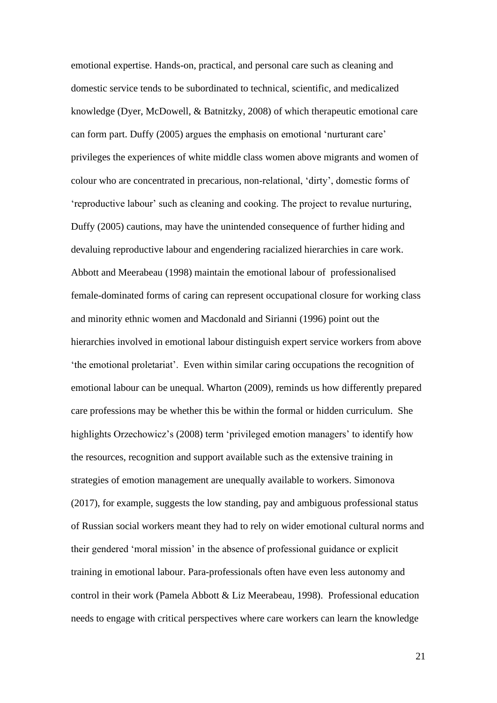emotional expertise. Hands-on, practical, and personal care such as cleaning and domestic service tends to be subordinated to technical, scientific, and medicalized knowledge (Dyer, McDowell, & Batnitzky, 2008) of which therapeutic emotional care can form part. Duffy (2005) argues the emphasis on emotional 'nurturant care' privileges the experiences of white middle class women above migrants and women of colour who are concentrated in precarious, non-relational, 'dirty', domestic forms of 'reproductive labour' such as cleaning and cooking. The project to revalue nurturing, Duffy (2005) cautions, may have the unintended consequence of further hiding and devaluing reproductive labour and engendering racialized hierarchies in care work. Abbott and Meerabeau (1998) maintain the emotional labour of professionalised female-dominated forms of caring can represent occupational closure for working class and minority ethnic women and Macdonald and Sirianni (1996) point out the hierarchies involved in emotional labour distinguish expert service workers from above 'the emotional proletariat'. Even within similar caring occupations the recognition of emotional labour can be unequal. Wharton (2009), reminds us how differently prepared care professions may be whether this be within the formal or hidden curriculum. She highlights Orzechowicz's (2008) term 'privileged emotion managers' to identify how the resources, recognition and support available such as the extensive training in strategies of emotion management are unequally available to workers. Simonova (2017), for example, suggests the low standing, pay and ambiguous professional status of Russian social workers meant they had to rely on wider emotional cultural norms and their gendered 'moral mission' in the absence of professional guidance or explicit training in emotional labour. Para-professionals often have even less autonomy and control in their work (Pamela Abbott & Liz Meerabeau, 1998). Professional education needs to engage with critical perspectives where care workers can learn the knowledge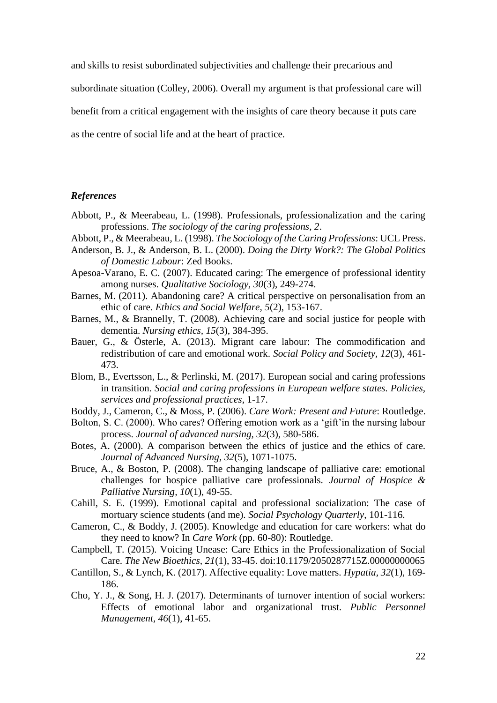and skills to resist subordinated subjectivities and challenge their precarious and

subordinate situation (Colley, 2006). Overall my argument is that professional care will

benefit from a critical engagement with the insights of care theory because it puts care

as the centre of social life and at the heart of practice.

## *References*

- Abbott, P., & Meerabeau, L. (1998). Professionals, professionalization and the caring professions. *The sociology of the caring professions, 2*.
- Abbott, P., & Meerabeau, L. (1998). *The Sociology of the Caring Professions*: UCL Press.
- Anderson, B. J., & Anderson, B. L. (2000). *Doing the Dirty Work?: The Global Politics of Domestic Labour*: Zed Books.
- Apesoa-Varano, E. C. (2007). Educated caring: The emergence of professional identity among nurses. *Qualitative Sociology, 30*(3), 249-274.
- Barnes, M. (2011). Abandoning care? A critical perspective on personalisation from an ethic of care. *Ethics and Social Welfare, 5*(2), 153-167.
- Barnes, M., & Brannelly, T. (2008). Achieving care and social justice for people with dementia. *Nursing ethics, 15*(3), 384-395.
- Bauer, G., & Österle, A. (2013). Migrant care labour: The commodification and redistribution of care and emotional work. *Social Policy and Society, 12*(3), 461- 473.
- Blom, B., Evertsson, L., & Perlinski, M. (2017). European social and caring professions in transition. *Social and caring professions in European welfare states. Policies, services and professional practices*, 1-17.
- Boddy, J., Cameron, C., & Moss, P. (2006). *Care Work: Present and Future*: Routledge.
- Bolton, S. C. (2000). Who cares? Offering emotion work as a 'gift'in the nursing labour process. *Journal of advanced nursing, 32*(3), 580-586.
- Botes, A. (2000). A comparison between the ethics of justice and the ethics of care. *Journal of Advanced Nursing, 32*(5), 1071-1075.
- Bruce, A., & Boston, P. (2008). The changing landscape of palliative care: emotional challenges for hospice palliative care professionals. *Journal of Hospice & Palliative Nursing, 10*(1), 49-55.
- Cahill, S. E. (1999). Emotional capital and professional socialization: The case of mortuary science students (and me). *Social Psychology Quarterly*, 101-116.
- Cameron, C., & Boddy, J. (2005). Knowledge and education for care workers: what do they need to know? In *Care Work* (pp. 60-80): Routledge.
- Campbell, T. (2015). Voicing Unease: Care Ethics in the Professionalization of Social Care. *The New Bioethics, 21*(1), 33-45. doi:10.1179/2050287715Z.00000000065
- Cantillon, S., & Lynch, K. (2017). Affective equality: Love matters. *Hypatia, 32*(1), 169- 186.
- Cho, Y. J., & Song, H. J. (2017). Determinants of turnover intention of social workers: Effects of emotional labor and organizational trust. *Public Personnel Management, 46*(1), 41-65.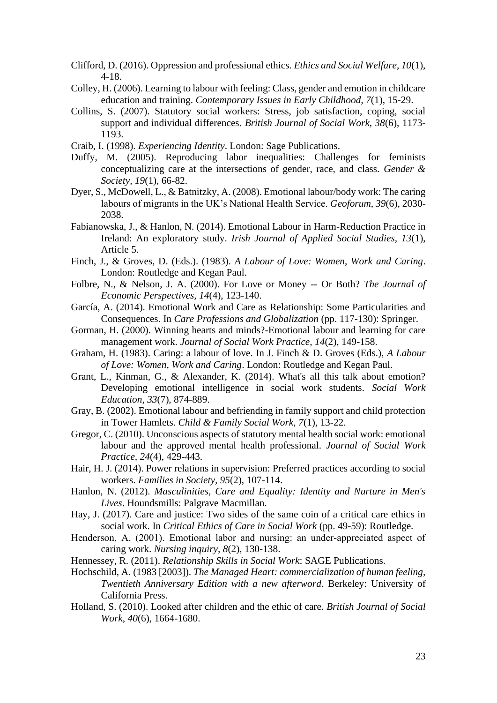- Clifford, D. (2016). Oppression and professional ethics. *Ethics and Social Welfare, 10*(1), 4-18.
- Colley, H. (2006). Learning to labour with feeling: Class, gender and emotion in childcare education and training. *Contemporary Issues in Early Childhood, 7*(1), 15-29.
- Collins, S. (2007). Statutory social workers: Stress, job satisfaction, coping, social support and individual differences. *British Journal of Social Work, 38*(6), 1173- 1193.
- Craib, I. (1998). *Experiencing Identity*. London: Sage Publications.
- Duffy, M. (2005). Reproducing labor inequalities: Challenges for feminists conceptualizing care at the intersections of gender, race, and class. *Gender & Society, 19*(1), 66-82.
- Dyer, S., McDowell, L., & Batnitzky, A. (2008). Emotional labour/body work: The caring labours of migrants in the UK's National Health Service. *Geoforum, 39*(6), 2030- 2038.
- Fabianowska, J., & Hanlon, N. (2014). Emotional Labour in Harm-Reduction Practice in Ireland: An exploratory study. *Irish Journal of Applied Social Studies, 13*(1), Article 5.
- Finch, J., & Groves, D. (Eds.). (1983). *A Labour of Love: Women, Work and Caring*. London: Routledge and Kegan Paul.
- Folbre, N., & Nelson, J. A. (2000). For Love or Money -- Or Both? *The Journal of Economic Perspectives, 14*(4), 123-140.
- García, A. (2014). Emotional Work and Care as Relationship: Some Particularities and Consequences. In *Care Professions and Globalization* (pp. 117-130): Springer.
- Gorman, H. (2000). Winning hearts and minds?-Emotional labour and learning for care management work. *Journal of Social Work Practice, 14*(2), 149-158.
- Graham, H. (1983). Caring: a labour of love. In J. Finch & D. Groves (Eds.), *A Labour of Love: Women, Work and Caring*. London: Routledge and Kegan Paul.
- Grant, L., Kinman, G., & Alexander, K. (2014). What's all this talk about emotion? Developing emotional intelligence in social work students. *Social Work Education, 33*(7), 874-889.
- Gray, B. (2002). Emotional labour and befriending in family support and child protection in Tower Hamlets. *Child & Family Social Work, 7*(1), 13-22.
- Gregor, C. (2010). Unconscious aspects of statutory mental health social work: emotional labour and the approved mental health professional. *Journal of Social Work Practice, 24*(4), 429-443.
- Hair, H. J. (2014). Power relations in supervision: Preferred practices according to social workers. *Families in Society, 95*(2), 107-114.
- Hanlon, N. (2012). *Masculinities, Care and Equality: Identity and Nurture in Men's Lives*. Houndsmills: Palgrave Macmillan.
- Hay, J. (2017). Care and justice: Two sides of the same coin of a critical care ethics in social work. In *Critical Ethics of Care in Social Work* (pp. 49-59): Routledge.
- Henderson, A. (2001). Emotional labor and nursing: an under-appreciated aspect of caring work. *Nursing inquiry, 8*(2), 130-138.
- Hennessey, R. (2011). *Relationship Skills in Social Work*: SAGE Publications.
- Hochschild, A. (1983 [2003]). *The Managed Heart: commercialization of human feeling, Twentieth Anniversary Edition with a new afterword*. Berkeley: University of California Press.
- Holland, S. (2010). Looked after children and the ethic of care. *British Journal of Social Work, 40*(6), 1664-1680.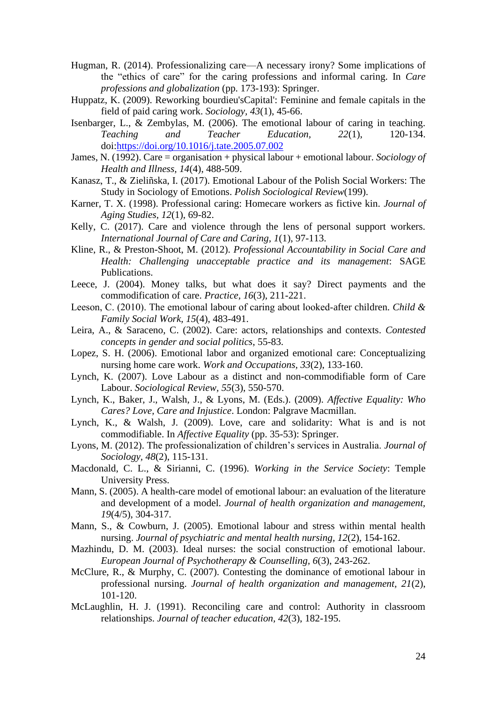- Hugman, R. (2014). Professionalizing care—A necessary irony? Some implications of the "ethics of care" for the caring professions and informal caring. In *Care professions and globalization* (pp. 173-193): Springer.
- Huppatz, K. (2009). Reworking bourdieu'sCapital': Feminine and female capitals in the field of paid caring work. *Sociology, 43*(1), 45-66.
- Isenbarger, L., & Zembylas, M. (2006). The emotional labour of caring in teaching. *Teaching and Teacher Education, 22*(1), 120-134. doi[:https://doi.org/10.1016/j.tate.2005.07.002](https://doi.org/10.1016/j.tate.2005.07.002)
- James, N. (1992). Care = organisation + physical labour + emotional labour. *Sociology of Health and Illness, 14*(4), 488-509.
- Kanasz, T., & Zieliñska, I. (2017). Emotional Labour of the Polish Social Workers: The Study in Sociology of Emotions. *Polish Sociological Review*(199).
- Karner, T. X. (1998). Professional caring: Homecare workers as fictive kin. *Journal of Aging Studies, 12*(1), 69-82.
- Kelly, C. (2017). Care and violence through the lens of personal support workers. *International Journal of Care and Caring, 1*(1), 97-113.
- Kline, R., & Preston-Shoot, M. (2012). *Professional Accountability in Social Care and Health: Challenging unacceptable practice and its management*: SAGE Publications.
- Leece, J. (2004). Money talks, but what does it say? Direct payments and the commodification of care. *Practice, 16*(3), 211-221.
- Leeson, C. (2010). The emotional labour of caring about looked‐after children. *Child & Family Social Work, 15*(4), 483-491.
- Leira, A., & Saraceno, C. (2002). Care: actors, relationships and contexts. *Contested concepts in gender and social politics*, 55-83.
- Lopez, S. H. (2006). Emotional labor and organized emotional care: Conceptualizing nursing home care work. *Work and Occupations, 33*(2), 133-160.
- Lynch, K. (2007). Love Labour as a distinct and non-commodifiable form of Care Labour. *Sociological Review, 55*(3), 550-570.
- Lynch, K., Baker, J., Walsh, J., & Lyons, M. (Eds.). (2009). *Affective Equality: Who Cares? Love, Care and Injustice*. London: Palgrave Macmillan.
- Lynch, K., & Walsh, J. (2009). Love, care and solidarity: What is and is not commodifiable. In *Affective Equality* (pp. 35-53): Springer.
- Lyons, M. (2012). The professionalization of children's services in Australia. *Journal of Sociology, 48*(2), 115-131.
- Macdonald, C. L., & Sirianni, C. (1996). *Working in the Service Society*: Temple University Press.
- Mann, S. (2005). A health-care model of emotional labour: an evaluation of the literature and development of a model. *Journal of health organization and management, 19*(4/5), 304-317.
- Mann, S., & Cowburn, J. (2005). Emotional labour and stress within mental health nursing. *Journal of psychiatric and mental health nursing, 12*(2), 154-162.
- Mazhindu, D. M. (2003). Ideal nurses: the social construction of emotional labour. *European Journal of Psychotherapy & Counselling, 6*(3), 243-262.
- McClure, R., & Murphy, C. (2007). Contesting the dominance of emotional labour in professional nursing. *Journal of health organization and management, 21*(2), 101-120.
- McLaughlin, H. J. (1991). Reconciling care and control: Authority in classroom relationships. *Journal of teacher education, 42*(3), 182-195.